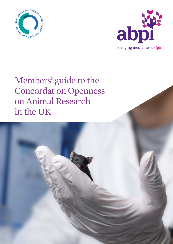



Members' guide to the Concordat on Openness on Animal Research in the UK

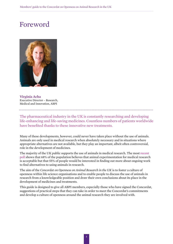## Foreword



**Virginia Acha**  Executive Director – Research, Medical and Innovation, ABPI

# The pharmaceutical industry in the UK is constantly researching and developing

life-enhancing and life-saving medicines. Countless numbers of patients worldwide have benefited thanks to these innovative new treatments.

Many of these developments, however, could never have taken place without the use of animals. Animals are only used in medical research when absolutely necessary and in situations where appropriate alternatives are not available, but they play an important, albeit often controversial, role in the development of medicines.

The majority of the UK public supports the use of animals in medical research. The most [recent](https://www.ipsos-mori.com/researchpublications/publications/1695/Attitudes-to-animal-research-in-2014.aspx)  [poll s](https://www.ipsos-mori.com/researchpublications/publications/1695/Attitudes-to-animal-research-in-2014.aspx)hows that 68% of the population believes that animal experimentation for medical research is acceptable but that 55% of people would be interested in finding out more about ongoing work to find alternatives to using animals in research.

The aim of the *Concordat on Openness on Animal Research in the UK* is to foster a culture of openness within life science organisations and to enable people to discuss the use of animals in research from a knowledgeable position and draw their own conclusions about its place in the development of medicines and treatments.

This guide is designed to give all ABPI members, especially those who have signed the Concordat, suggestions of practical steps that they can take in order to meet the Concordat's commitments and develop a culture of openness around the animal research they are involved with.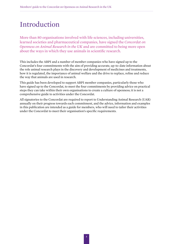# Introduction

More than 80 organisations involved with life sciences, including universities, learned societies and pharmaceutical companies, have signed the *[Concordat on](www.understandinganimalresearch.org.uk/files/6614/1207/5133/concordat-on-openness-on-animal-research-in-the-uk.pdf)  [Openness on Animal Research in the UK](www.understandinganimalresearch.org.uk/files/6614/1207/5133/concordat-on-openness-on-animal-research-in-the-uk.pdf)* and are committed to being more open about the ways in which they use animals in scientific research.

This includes the ABPI and a number of member companies who have signed up to the Concordat's four commitments with the aim of providing accurate, up-to-date information about the role animal research plays in the discovery and development of medicines and treatments, how it is regulated, the importance of animal welfare and the drive to replace, refine and reduce the way that animals are used in research.

This guide has been developed to support ABPI member companies, particularly those who have signed up to the Concordat, to meet the four commitments by providing advice on practical steps they can take within their own organisations to create a culture of openness; it is not a comprehensive guide to activities under the Concordat.

All signatories to the Concordat are required to report to Understanding Animal Research (UAR) annually on their progress towards each commitment, and the advice, information and examples in this publication are intended as a guide for members, who will need to tailor their activities under the Concordat to meet their organisation's specific requirements.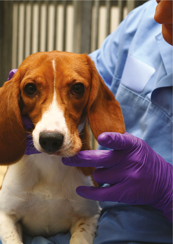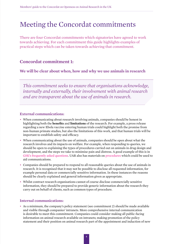# Meeting the Concordat commitments

There are four Concordat commitments which signatories have agreed to work towards achieving. For each commitment this guide highlights examples of practical steps which can be taken towards achieving that commitment.

### **Concordat commitment 1:**

### **We will be clear about when, how and why we use animals in research**

*This commitment seeks to ensure that organisations acknowledge, internally and externally, their involvement with animal research and are transparent about the use of animals in research.*

### **External communications:**

- When communicating about research involving animals, companies should be honest in highlighting both the **benefits** and **limitations** of the research. For example, a press release regarding a new Ebola vaccine entering human trials could highlight both the promise from non-human primate studies, but also the limitations of this work, and that human trials will be important to establish safety and efficacy.
- When communicating about the use of animals, companies should be open about what the research involves and its impacts on welfare. For example, when responding to queries, we should be open to explaining the types of procedures carried out on animals in drug design and development, and the steps we take to minimise pain and distress. A good example of this is in [GSK's frequently asked questions.](http://www.gsk.com/en-gb/research/our-use-of-animals/frequently-asked-questions/) UAR also has materials o[n procedures w](http://www.understandinganimalresearch.org.uk/how/understanding-animal-procedures/examples-of-procedures/)hich could be used to aid communications.
- Companies should be prepared to respond to all reasonable queries about the use of animals in research. It is recognised that it may not be possible to disclose all requested information, for example personal data or commercially sensitive information. In these instances the reasons should be clearly explained and general information given as appropriate.
- Whilst contract research organisations cannot of course disclose commercially sensitive information, they should be prepared to provide generic information about the research they carry out on behalf of clients, such as common types of procedure.

#### **Internal communications:**

• As a minimum, the company's policy statement (see commitment 2) should be made available and visible through companies' intranets. More comprehensive internal communication is desirable to meet this commitment. Companies could consider making all public-facing information on animal research available on intranets; making promotion of the policy statement and their position on animal research part of the appointment and induction of new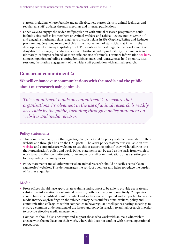starters, including, where feasible and applicable, new starter visits to animal facilities; and regular 'all staff' updates through meetings and internal publications.

• Other ways to engage the wider staff population with animal research programmes could include using staff as lay members on Animal Welfare and Ethical Review Bodies (AWERB) and engaging mathematicians, engineers or statisticians in 3Rs (Replace, Refine and Reduce) programmes. One good example of this is the involvement of statisticians at Pfizer in the development of an Assay Capability Tool. This tool can be used to guide the development of drug discovery assays, to address issues of robustness and reproducibility in animal research, ultimately leading to reduced, or more efficient, use of animals. For more informatio[n see here.](http://www.plosone.org/article/info%3Adoi%2F10.1371%2Fjournal.pone.0106108)  Some companies, including Huntingdon Life Sciences and AstraZeneca, hold open AWERB sessions, facilitating engagement of the wider staff population with animal research.

## **Concordat commitment 2:**

**We will enhance our communications with the media and the public about our research using animals**

*This commitment builds on commitment 1, to ensure that organisations' involvement in the use of animal research is readily accessible by the public, including through a policy statement on websites and media releases.*

#### **Policy statement:**

- This commitment requires that signatory companies make a policy statement available on their website and through a link on the UAR portal. The ABPI policy statement is available on our [website a](http://www.abpi.org.uk/our-work/mandi/Pages/animals-research.aspx)nd companies are welcome to use this as a starting point if they wish, tailoring it to their organisation's policy and work. Policy statements can be used as the basis from which to work towards other commitments, for example for staff communication, or as a starting point for responding to some queries.
- Policy statements and all other material on animal research should be easily accessible on signatories' websites. This demonstrates the spirit of openness and helps to reduce the burden of further enquiries.

#### **Media:**

• Press offices should have appropriate training and support to be able to provide accurate and substantive information about animal research, both reactively and proactively. Companies should have an identified point of contact and spokespeople prepared and supported to provide media interviews/briefings on the subject. It may be useful for animal welfare, policy and communication colleagues within companies to have regular 'intelligence sharing' meetings to ensure a common understanding of the issues and policy in relation to animal research in order to provide effective media management.

Companies should also encourage and support those who work with animals who wish to engage with the media about their work, where this does not conflict with normal operational procedures.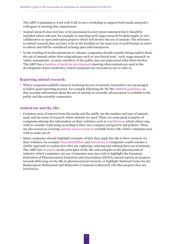The ABPI is planning to work with UAR to run a workshop to support both media and policy colleagues in meeting this commitment.

- Animal research does not have to be mentioned in every press statement but it should be included where relevant, for example in reporting early stage research breakthroughs, or new collaborative or open innovation projects which will involve the use of animals. The reference to animal research does not have to be in the headline or the main text; it could feature in notes to editors and still be considered as being open and transparent.
- In the wording of media statements or releases, companies should consider being explicit about the use of animals rather than using phrases such as 'preclinical tests', 'early stage research' or 'safety assessments', as many members of the public may not understand what these involve. The ABPI has a timeline of medicine development showing when animals are used in the development of new medicines, which companies are welcome to use or refer to.

### **Reporting animal research:**

• Where companies publish research involving the use of animals, researchers are encouraged to follow good reporting practice, for example following the NC3R[s ARRIVE guidelines,](https://www.nc3rs.org.uk/arrive-guidelines) so that accurate information about the use of animals in scientific advancement is available to the public and the scientific community.

### **Animal use and the 3Rs:**

- Common areas of interest from the media and the public are the number and type of animals used, and the areas of research where animals are used. There are some good examples of companies sharing this information on their websites, such as [AstraZeneca, w](http://www.astrazeneca.com/Responsibility/Research-ethics/Animal-research/Our-performance)hich others may wish to consider replicating according to their own company perspective and policies. There are also resources coverin[g animals used in research a](http://www.understandinganimalresearch.org.uk/the-animals/numbers-of-animals)vailable from UAR, which companies may wish to make use of.
- Many companies already highlight examples of how they apply the 3Rs in their research via their websites, for exampl[e GlaxoSmithKline a](http://www.gsk.com/en-gb/research/our-use-of-animals/the-3rs-in-medicine-research/#replacement-reduction-and-refinement-in-practice)n[d AstraZeneca.](http://www.astrazeneca.com/Responsibility/Research-ethics/Animal-research/Our-3Rs-commitment) Companies could consider a similar approach to explain how they are replacing, reducing and refining their use of animals. The ABPI has [resources o](http://www.abpi.org.uk/our-work/mandi/Documents/animals_and_medicines_research.pdf)n the principles of the 3Rs and examples in the pharmaceutical industry, which companies can use. Companies may also wish to highlight the European Federation of Pharmaceutical Industries and Associations (EFPIA) annual reports on progress towards delivering on the 3Rs in pharmaceutical research, or highlight National Centre for the Replacement, Refinement and Reduction of Animals in Research (NC3Rs) projects they are involved in.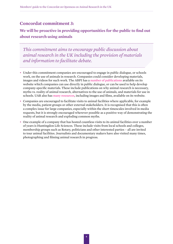## **Concordat commitment 3:**

## **We will be proactive in providing opportunities for the public to find out about research using animals**

*This commitment aims to encourage public discussion about animal research in the UK including the provision of materials and information to facilitate debate.*

- Under this commitment companies are encouraged to engage in public dialogue, or schools work, on the use of animals in research. Companies could consider developing materials, images and videos for such work. The ABPI has [a number of publications](http://www.abpi.org.uk/our-work/mandi/Pages/animals-research.aspx) available on its website which companies can use directly in public dialogue, or can be used to help develop company-specific materials. These include publications on why animal research is necessary, myths vs. reality of animal research, alternatives to the use of animals, and materials for use in schools. UAR also h[as many resources](http://www.understandinganimalresearch.org.uk/resources/), including images and films, available on its website.
- Companies are encouraged to facilitate visits to animal facilities where applicable, for example by the media, patient groups or other external stakeholders. It is recognised that this is often a complex issue for large companies, especially within the short timescales involved in media requests, but it is strongly encouraged wherever possible as a positive way of demonstrating the reality of animal research and exploding common myths.
- One example of a company that has hosted countless visits to its animal facilities over a number of years is Huntingdon Life Sciences. These include visits from local schools and colleges, membership groups such as Rotary, politicians and other interested parties – all are invited to tour animal facilities. Journalists and documentary makers have also visited many times, photographing and filming animal research in progress.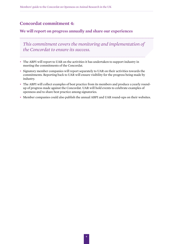## **Concordat commitment 4:**

### **We will report on progress annually and share our experiences**

*This commitment covers the monitoring and implementation of the Concordat to ensure its success.*

- The ABPI will report to UAR on the activities it has undertaken to support industry in meeting the commitments of the Concordat.
- Signatory member companies will report separately to UAR on their activities towards the commitments. Reporting back to UAR will ensure visibility for the progress being made by industry.
- The ABPI will collect examples of best practice from its members and produce a yearly roundup of progress made against the Concordat. UAR will hold events to celebrate examples of openness and to share best practice among signatories.
- Member companies could also publish the annual ABPI and UAR round-ups on their websites.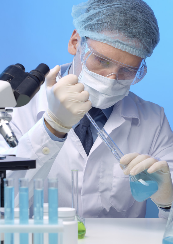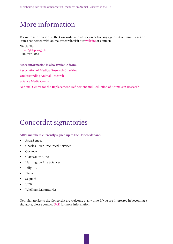# More information

For more information on the Concordat and advice on delivering against its commitments or issues connected with animal research, visit ou[r website o](http://www.abpi.org.uk/our-work/mandi/Pages/animals-research.aspx)r contact:

Nicola Platt nplatt@abpi.org.uk 0207 747 8864

**More information is also available from:** [Association of Medical Research Charities](http://www.amrc.org.uk/) [Understanding Animal Research](http://www.understandinganimalresearch.org.uk/) [Science Media Centre](http://www.sciencemediacentre.org/) [National Centre for the Replacement, Refinement and Reduction of Animals in Research](http://www.nc3rs.org.uk/)

# Concordat signatories

#### **ABPI members currently signed up to the Concordat are:**

- AstraZeneca
- Charles River Preclinical Services
- Covance
- GlaxoSmithKline
- Huntingdon Life Sciences
- Lilly UK
- Pfizer
- Sequani
- UCB
- Wickham Laboratories

New signatories to the Concordat are welcome at any time. If you are interested in becoming a signatory, please contac[t UAR f](http://www.understandinganimalresearch.org.uk/about-us/contact-us/)or more information.